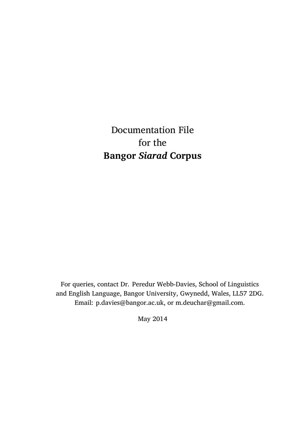Documentation File for the **Bangor** *Siarad* **Corpus**

For queries, contact Dr. Peredur Webb-Davies, School of Linguistics and English Language, Bangor University, Gwynedd, Wales, LL57 2DG. Email: p.davies@bangor.ac.uk, or m.deuchar@gmail.com.

May 2014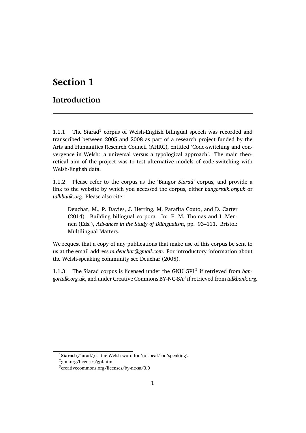## **Section 1**

## **Introduction**

1.1.1 The Siarad<sup>1</sup> corpus of Welsh-English bilingual speech was recorded and transcribed between 2005 and 2008 as part of a research project funded by the Arts and Humanities Research Council (AHRC), entitled 'Code-switching and convergence in Welsh: a universal versus a typological approach'. The main theoretical aim of the project was to test alternative models of code-switching with Welsh-English data.

1.1.2 Please refer to the corpus as the 'Bangor *Siarad*' corpus, and provide a link to the website by which you accessed the corpus, either *bangortalk.org.uk* or *talkbank.org*. Please also cite:

Deuchar, M., P. Davies, J. Herring, M. Parafita Couto, and D. Carter (2014). Building bilingual corpora. In: E. M. Thomas and I. Mennen (Eds.), *Advances in the Study of Bilingualism*, pp. 93–111. Bristol: Multilingual Matters.

We request that a copy of any publications that make use of this corpus be sent to us at the email address *m.deuchar@gmail.com*. For introductory information about the Welsh-speaking community see Deuchar (2005).

1.1.3 The Siarad corpus is licensed under the GNU GPL<sup>2</sup> if retrieved from *bangortalk.org.uk*, and under Creative Commons BY-NC-SA<sup>3</sup> if retrieved from *talkbank.org*.

<sup>&</sup>lt;sup>1</sup>Siarad (/farad/) is the Welsh word for 'to speak' or 'speaking'.

<sup>2</sup> gnu.org/licenses/gpl.html

<sup>3</sup> creativecommons.org/licenses/by-nc-sa/3.0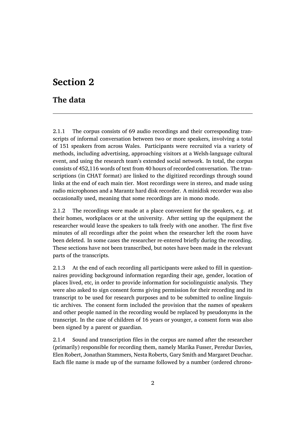## **Section 2**

### **The data**

2.1.1 The corpus consists of 69 audio recordings and their corresponding transcripts of informal conversation between two or more speakers, involving a total of 151 speakers from across Wales. Participants were recruited via a variety of methods, including advertising, approaching visitors at a Welsh-language cultural event, and using the research team's extended social network. In total, the corpus consists of 452,116 words of text from 40 hours of recorded conversation. The transcriptions (in CHAT format) are linked to the digitized recordings through sound links at the end of each main tier. Most recordings were in stereo, and made using radio microphones and a Marantz hard disk recorder. A minidisk recorder was also occasionally used, meaning that some recordings are in mono mode.

2.1.2 The recordings were made at a place convenient for the speakers, e.g. at their homes, workplaces or at the university. After setting up the equipment the researcher would leave the speakers to talk freely with one another. The first five minutes of all recordings after the point when the researcher left the room have been deleted. In some cases the researcher re-entered briefly during the recording. These sections have not been transcribed, but notes have been made in the relevant parts of the transcripts.

2.1.3 At the end of each recording all participants were asked to fill in questionnaires providing background information regarding their age, gender, location of places lived, etc, in order to provide information for sociolinguistic analysis. They were also asked to sign consent forms giving permission for their recording and its transcript to be used for research purposes and to be submitted to online linguistic archives. The consent form included the provision that the names of speakers and other people named in the recording would be replaced by pseudonyms in the transcript. In the case of children of 16 years or younger, a consent form was also been signed by a parent or guardian.

2.1.4 Sound and transcription files in the corpus are named after the researcher (primarily) responsible for recording them, namely Marika Fusser, Peredur Davies, Elen Robert, Jonathan Stammers, Nesta Roberts, Gary Smith and Margaret Deuchar. Each file name is made up of the surname followed by a number (ordered chrono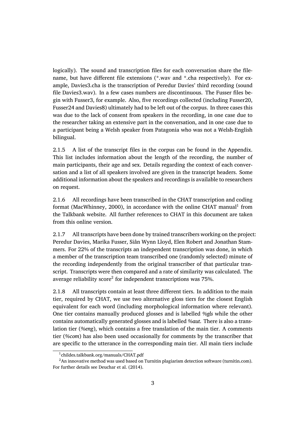logically). The sound and transcription files for each conversation share the filename, but have different file extensions (\*.wav and \*.cha respectively). For example, Davies3.cha is the transcription of Peredur Davies' third recording (sound file Davies3.wav). In a few cases numbers are discontinuous. The Fusser files begin with Fusser3, for example. Also, five recordings collected (including Fusser20, Fusser24 and Davies8) ultimately had to be left out of the corpus. In three cases this was due to the lack of consent from speakers in the recording, in one case due to the researcher taking an extensive part in the conversation, and in one case due to a participant being a Welsh speaker from Patagonia who was not a Welsh-English bilingual.

2.1.5 A list of the transcript files in the corpus can be found in the Appendix. This list includes information about the length of the recording, the number of main participants, their age and sex. Details regarding the context of each conversation and a list of all speakers involved are given in the transcript headers. Some additional information about the speakers and recordings is available to researchers on request.

2.1.6 All recordings have been transcribed in the CHAT transcription and coding format (MacWhinney, 2000), in accordance with the online CHAT manual $^{\rm l}$  from the Talkbank website. All further references to CHAT in this document are taken from this online version.

2.1.7 All transcripts have been done by trained transcribers working on the project: Peredur Davies, Marika Fusser, Siân Wynn Lloyd, Elen Robert and Jonathan Stammers. For 22% of the transcripts an independent transcription was done, in which a member of the transcription team transcribed one (randomly selected) minute of the recording independently from the original transcriber of that particular transcript. Transcripts were then compared and a rate of similarity was calculated. The average reliability score $^2$  for independent transcriptions was 75%.

2.1.8 All transcripts contain at least three different tiers. In addition to the main tier, required by CHAT, we use two alternative gloss tiers for the closest English equivalent for each word (including morphological information where relevant). One tier contains manually produced glosses and is labelled *%gls* while the other contains automatically generated glosses and is labelled *%aut*. There is also a translation tier (*%eng*), which contains a free translation of the main tier. A comments tier (*%com*) has also been used occasionally for comments by the transcriber that are specific to the utterance in the corresponding main tier. All main tiers include

<sup>1</sup> childes.talkbank.org/manuals/CHAT.pdf

<sup>&</sup>lt;sup>2</sup>An innovative method was used based on Turnitin plagiarism detection software (turnitin.com). For further details see Deuchar et al. (2014).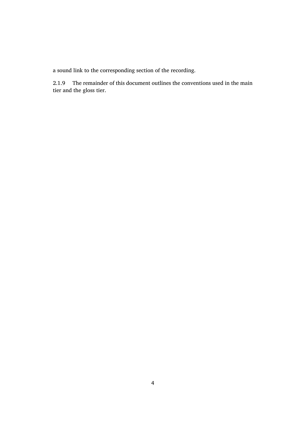a sound link to the corresponding section of the recording.

2.1.9 The remainder of this document outlines the conventions used in the main tier and the gloss tier.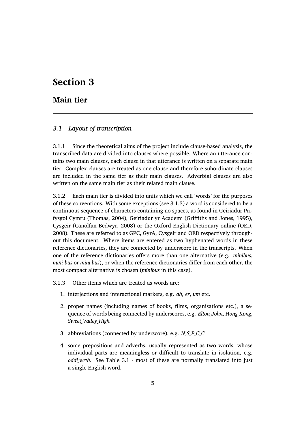## **Section 3**

#### **Main tier**

#### *3.1 Layout of transcription*

3.1.1 Since the theoretical aims of the project include clause-based analysis, the transcribed data are divided into clauses where possible. Where an utterance contains two main clauses, each clause in that utterance is written on a separate main tier. Complex clauses are treated as one clause and therefore subordinate clauses are included in the same tier as their main clauses. Adverbial clauses are also written on the same main tier as their related main clause.

3.1.2 Each main tier is divided into units which we call 'words' for the purposes of these conventions. With some exceptions (see 3.1.3) a word is considered to be a continuous sequence of characters containing no spaces, as found in Geiriadur Prifysgol Cymru (Thomas, 2004), Geiriadur yr Academi (Griffiths and Jones, 1995), Cysgeir (Canolfan Bedwyr, 2008) or the Oxford English Dictionary online (OED, 2008). These are referred to as GPC, GyrA, Cysgeir and OED respectively throughout this document. Where items are entered as two hyphenated words in these reference dictionaries, they are connected by underscore in the transcripts. When one of the reference dictionaries offers more than one alternative (e.g. *minibus*, *mini-bus* or *mini bus*), or when the reference dictionaries differ from each other, the most compact alternative is chosen (*minibus* in this case).

3.1.3 Other items which are treated as words are:

- 1. interjections and interactional markers, e.g. *ah*, *er*, *um* etc.
- 2. proper names (including names of books, films, organisations etc.), a sequence of words being connected by underscores, e.g. *Elton\_John*, H*ong\_Kong*, *Sweet\_Valley\_High*
- 3. abbreviations (connected by underscore), e.g. *N\_S\_P\_C\_C*
- 4. some prepositions and adverbs, usually represented as two words, whose individual parts are meaningless or difficult to translate in isolation, e.g. *oddi\_wrth*. See Table 3.1 - most of these are normally translated into just a single English word.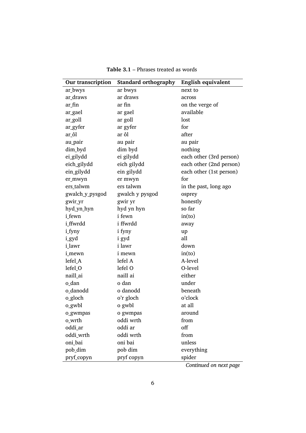| <b>Standard orthography</b>                                   | <b>English equivalent</b> |
|---------------------------------------------------------------|---------------------------|
| ar_bwys<br>ar bwys<br>next to                                 |                           |
| ar draws<br>ar_draws<br>across                                |                           |
| ar fin<br>ar_fin<br>on the verge of                           |                           |
| available<br>ar gael<br>ar_gael                               |                           |
| ar_goll<br>ar goll<br>lost                                    |                           |
| for<br>ar_gyfer<br>ar gyfer                                   |                           |
| after<br>ar <sub>_</sub> ôl<br>ar ôl                          |                           |
| au_pair<br>au pair<br>au pair                                 |                           |
| dim byd<br>dim_byd<br>nothing                                 |                           |
| ei gilydd<br>ei_gilydd<br>each other (3rd person)             |                           |
| eich_gilydd<br>eich gilydd<br>each other (2nd person)         |                           |
| ein_gilydd<br>ein gilydd<br>each other (1st person)           |                           |
| for<br>er_mwyn<br>er mwyn                                     |                           |
| ers_talwm<br>ers talwm<br>in the past, long ago               |                           |
| gwalch_y_pysgod<br>gwalch y pysgod<br>osprey                  |                           |
| gwir_yr<br>honestly<br>gwir yr                                |                           |
| so far<br>hyd_yn_hyn<br>hyd yn hyn                            |                           |
| i fewn<br><i>i</i> fewn<br>in(to)                             |                           |
| i ffwrdd<br>i_ffwrdd<br>away                                  |                           |
| <i>i_fyny</i><br>i fyny<br>up                                 |                           |
| i_gyd<br>i gyd<br>all                                         |                           |
| i lawr<br>down<br>i lawr                                      |                           |
| in(to)<br>i_mewn<br><i>i</i> mewn                             |                           |
| lefel A<br>A-level<br>lefel_A                                 |                           |
| lefel O<br>lefel_O<br>O-level                                 |                           |
| naill_ai<br>naill ai<br>either                                |                           |
| under<br>o_dan<br>o dan                                       |                           |
| o_danodd<br>beneath<br>o danodd                               |                           |
| o'r gloch<br>o'clock<br>o_gloch                               |                           |
| o gwbl<br>o gwbl<br>at all                                    |                           |
| around<br>o gwmpas<br>o_gwmpas                                |                           |
| oddi wrth<br>from<br>o_wrth                                   |                           |
| off<br>oddi_ar<br>oddi ar                                     |                           |
| oddi_wrth<br>oddi wrth<br>from                                |                           |
| oni bai<br>oni bai<br>unless                                  |                           |
| pob dim<br>everything<br>pob_dim                              |                           |
| pryf copyn<br>pryf_copyn<br>spider<br>$Confinud$ on nont none |                           |

**Table 3.1** – Phrases treated as words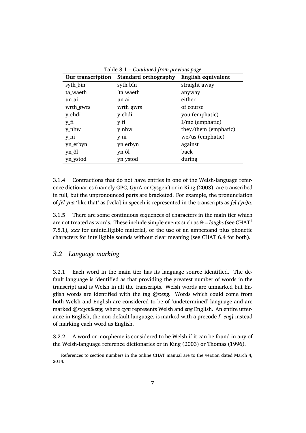| Our transcription | <b>Standard orthography</b> | English equivalent   |
|-------------------|-----------------------------|----------------------|
| syth_bín          | syth bín                    | straight away        |
| ta_waeth          | 'ta waeth                   | anyway               |
| un ai             | un ai                       | either               |
| wrth_gwrs         | wrth gwrs                   | of course            |
| y_chdi            | y chdi                      | you (emphatic)       |
| y_fi              | y fi                        | I/me (emphatic)      |
| y_nhw             | y nhw                       | they/them (emphatic) |
| y ni              | y ni                        | we/us (emphatic)     |
| yn_erbyn          | yn erbyn                    | against              |
| yn ôl             | yn ôl                       | back                 |
| yn_ystod          | yn ystod                    | during               |

Table 3.1 – *Continued from previous page*

3.1.4 Contractions that do not have entries in one of the Welsh-language reference dictionaries (namely GPC, GyrA or Cysgeir) or in King (2003), are transcribed in full, but the unpronounced parts are bracketed. For example, the pronunciation of *fel yna* 'like that' as [vɛla] in speech is represented in the transcripts as *fel (yn)a*.

3.1.5 There are some continuous sequences of characters in the main tier which are not treated as words. These include simple events such as  $\&=$  *laughs* (see CHAT<sup>1</sup> 7.8.1), *xxx* for unintelligible material, or the use of an ampersand plus phonetic characters for intelligible sounds without clear meaning (see CHAT 6.4 for both).

#### *3.2 Language marking*

3.2.1 Each word in the main tier has its language source identified. The default language is identified as that providing the greatest number of words in the transcript and is Welsh in all the transcripts. Welsh words are unmarked but English words are identified with the tag *@s:eng*. Words which could come from both Welsh and English are considered to be of 'undetermined' language and are marked *@s:cym&eng*, where *cym* represents Welsh and *eng* English. An entire utterance in English, the non-default language, is marked with a precode *[- eng]* instead of marking each word as English.

3.2.2 A word or morpheme is considered to be Welsh if it can be found in any of the Welsh-language reference dictionaries or in King (2003) or Thomas (1996).

<sup>&</sup>lt;sup>1</sup>References to section numbers in the online CHAT manual are to the version dated March 4, 2014.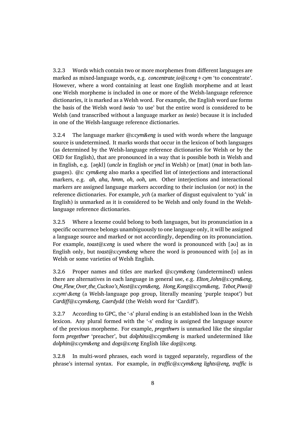3.2.3 Words which contain two or more morphemes from different languages are marked as mixed-language words, e.g. *concentrate io@s:eng + cym* 'to concentrate'. However, where a word containing at least one English morpheme and at least one Welsh morpheme is included in one or more of the Welsh-language reference dictionaries, it is marked as a Welsh word. For example, the English word *use* forms the basis of the Welsh word *iwsio* 'to use' but the entire word is considered to be Welsh (and transcribed without a language marker as *iwsio*) because it is included in one of the Welsh-language reference dictionaries.

3.2.4 The language marker *@s:cym&eng* is used with words where the language source is undetermined. It marks words that occur in the lexicon of both languages (as determined by the Welsh-language reference dictionaries for Welsh or by the OED for English), that are pronounced in a way that is possible both in Welsh and in English, e.g. [əŋkl] (*uncle* in English or *yncl* in Welsh) or [mat] (*mat* in both languages). *@s: cym&eng* also marks a specified list of interjections and interactional markers, e.g. *ah*, *aha*, *hmm*, *oh*, *ooh*, *um*. Other interjections and interactional markers are assigned language markers according to their inclusion (or not) in the reference dictionaries. For example, *ych* (a marker of disgust equivalent to 'yuk' in English) is unmarked as it is considered to be Welsh and only found in the Welshlanguage reference dictionaries.

3.2.5 Where a lexeme could belong to both languages, but its pronunciation in a specific occurrence belongs unambiguously to one language only, it will be assigned a language source and marked or not accordingly, depending on its pronunciation. For example, *toast@s:eng* is used where the word is pronounced with [əʊ] as in English only, but *toast@s:cym&eng* where the word is pronounced with [o] as in Welsh or some varieties of Welsh English.

3.2.6 Proper names and titles are marked *@s:cym&eng* (undetermined) unless there are alternatives in each language in general use, e.g. *Elton\_John@s:cym&eng*, *One\_Flew\_Over\_the\_Cuckoo's\_Nest@s:cym&eng*, *Hong\_Kong@s:cym&eng*, *Tebot\_Piws@ s:cym\&eng* (a Welsh-language pop group, literally meaning 'purple teapot') but *Cardiff@s:cym&eng*, *Caerdydd* (the Welsh word for 'Cardiff').

3.2.7 According to GPC, the '-s' plural ending is an established loan in the Welsh lexicon. Any plural formed with the '-s' ending is assigned the language source of the previous morpheme. For example, *pregethwrs* is unmarked like the singular form *pregethwr* 'preacher', but *dolphins@s:cym&eng* is marked undetermined like *dolphin@s:cym&eng* and *dogs@s:eng* English like *dog@s:eng*.

3.2.8 In multi-word phrases, each word is tagged separately, regardless of the phrase's internal syntax. For example, in *traffic@s:cym&eng lights@eng*, *traffic* is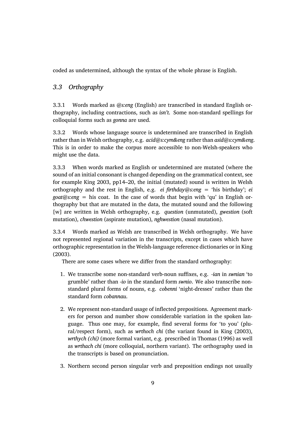coded as undetermined, although the syntax of the whole phrase is English.

#### *3.3 Orthography*

3.3.1 Words marked as *@s:eng* (English) are transcribed in standard English orthography, including contractions, such as *isn't*. Some non-standard spellings for colloquial forms such as *gonna* are used.

3.3.2 Words whose language source is undetermined are transcribed in English rather than in Welsh orthography, e.g. *acid@s:cym&eng* rather than *asid@s:cym&eng*. This is in order to make the corpus more accessible to non-Welsh-speakers who might use the data.

3.3.3 When words marked as English or undetermined are mutated (where the sound of an initial consonant is changed depending on the grammatical context, see for example King 2003, pp14–20, the initial (mutated) sound is written in Welsh orthography and the rest in English, e.g. *ei firthday@s:eng* = 'his birthday'; *ei goat@s:eng* = his coat. In the case of words that begin with 'qu' in English orthography but that are mutated in the data, the mutated sound and the following [w] are written in Welsh orthography, e.g. *question* (unmutated), *gwestion* (soft mutation), *chwestion* (aspirate mutation), *nghwestion* (nasal mutation).

3.3.4 Words marked as Welsh are transcribed in Welsh orthography. We have not represented regional variation in the transcripts, except in cases which have orthographic representation in the Welsh-language reference dictionaries or in King (2003).

There are some cases where we differ from the standard orthography:

- 1. We transcribe some non-standard verb-noun suffixes, e.g. *-ian* in *swnian* 'to grumble' rather than *-io* in the standard form *swnio*. We also transcribe nonstandard plural forms of nouns, e.g. *cobenni* 'night-dresses' rather than the standard form *cobannau*.
- 2. We represent non-standard usage of inflected prepositions. Agreement markers for person and number show considerable variation in the spoken language. Thus one may, for example, find several forms for 'to you' (plural/respect form), such as *wrthoch chi* (the variant found in King (2003), *wrthych (chi)* (more formal variant, e.g. prescribed in Thomas (1996) as well as *wrthach chi* (more colloquial, northern variant). The orthography used in the transcripts is based on pronunciation.
- 3. Northern second person singular verb and preposition endings not usually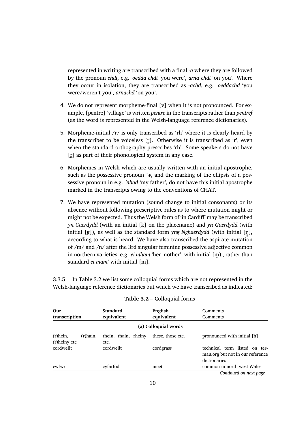represented in writing are transcribed with a final *-a* where they are followed by the pronoun *chdi*, e.g. *oedda chdi* 'you were', *arna chdi* 'on you'. Where they occur in isolation, they are transcribed as *-achd*, e.g. *oeddachd* 'you were/weren't you', *arnachd* 'on you'.

- 4. We do not represent morpheme-final [v] when it is not pronounced. For example, [pɛntre] 'village' is written *pentre* in the transcripts rather than *pentref* (as the word is represented in the Welsh-language reference dictionaries).
- 5. Morpheme-initial  $/r/$  is only transcribed as 'rh' where it is clearly heard by the transcriber to be voiceless [r̥]. Otherwise it is transcribed as 'r', even when the standard orthography prescribes 'rh'. Some speakers do not have [r] as part of their phonological system in any case.
- 6. Morphemes in Welsh which are usually written with an initial apostrophe, such as the possessive pronoun *'w*, and the marking of the ellipsis of a possessive pronoun in e.g. *'nhad* 'my father', do not have this initial apostrophe marked in the transcripts owing to the conventions of CHAT.
- 7. We have represented mutation (sound change to initial consonants) or its absence without following prescriptive rules as to where mutation might or might not be expected. Thus the Welsh form of 'in Cardiff' may be transcribed *yn Caerdydd* (with an initial [k] on the placename) and *yn Gaerdydd* (with initial [g]), as well as the standard form *yng Nghaerdydd* (with initial [ŋ̥], according to what is heard. We have also transcribed the aspirate mutation of /m/ and /n/ after the 3rd singular feminine possessive adjective common in northern varieties, e.g. *ei mham* 'her mother', with initial [m̥ ) , rather than standard *ei mam*' with initial [m].

3.3.5 In Table 3.2 we list some colloquial forms which are not represented in the Welsh-language reference dictionaries but which we have transcribed as indicated:

| Our                                        | <b>Standard</b>              | English              | Comments                                                                          |
|--------------------------------------------|------------------------------|----------------------|-----------------------------------------------------------------------------------|
| transcription                              | equivalent                   | equivalent           | Comments                                                                          |
|                                            |                              | (a) Colloquial words |                                                                                   |
| $(r)$ hein,<br>$(r)$ hain,<br>(r)heiny etc | rhein, rhain, rheiny<br>etc. | these, those etc.    | pronounced with initial [h]                                                       |
| cordwellt                                  | cordwellt                    | cordgrass            | technical term listed on ter-<br>may org but not in our reference<br>dictionaries |
| cwfwr                                      | cyfarfod                     | meet                 | common in north west Wales                                                        |
|                                            |                              |                      | Continued on next page                                                            |

| Table 3.2 - Colloquial forms |  |  |
|------------------------------|--|--|
|------------------------------|--|--|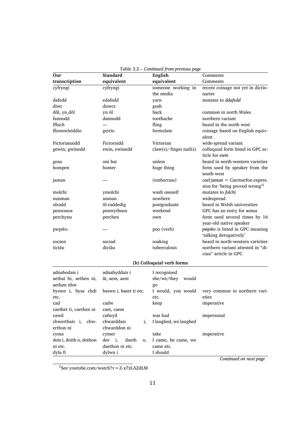| Our                                | <b>Standard</b>                                     | rable 5.2 continued from previous puge<br>English | Comments                                                                        |
|------------------------------------|-----------------------------------------------------|---------------------------------------------------|---------------------------------------------------------------------------------|
| transcription                      | equivalent                                          | equivalent                                        | Comments                                                                        |
| cyfryngi                           | cyfryngi                                            | someone working in                                | recent coinage not yet in dictio-                                               |
|                                    |                                                     | the media                                         | naries                                                                          |
| dafedd                             | edafedd                                             | yarn                                              | mutates to ddafedd                                                              |
| diwc                               | duwcs                                               | gosh                                              |                                                                                 |
| dôl, yn_dôl                        | yn ôl                                               | back                                              | common in north Wales                                                           |
| fannodd                            | dannodd                                             | toothache                                         | northern variant                                                                |
| ffluch                             |                                                     | fling                                             | heard in the north west                                                         |
| fformwleiddio                      | geirio                                              | formulate                                         | coinage based on English equiv-<br>alent                                        |
| Fictorianaidd                      | Fictoraidd                                          | Victorian                                         | wide-spread variant                                                             |
| gewin, gwinedd                     | ewin, ewinedd                                       | claw(s)/finger nail(s)                            | colloquial form listed in GPC ar-<br>ticle for ewin                             |
| gosa                               | oni bai                                             | unless                                            | heard in north-western varieties                                                |
| hompen                             | homer                                               | huge thing                                        | form used by speaker from the<br>south-west                                     |
| jaman                              |                                                     | (embarrass)                                       | $cael jaman = Caernarfon expres-$<br>sion for 'being proved wrong' <sup>2</sup> |
| molchi                             | ymolchi                                             | wash oneself                                      | mutates to folchi                                                               |
| nunman                             | unman                                               | nowhere                                           | widespread                                                                      |
| olradd                             | ôl-raddedig                                         | postgraduate                                      | heard in Welsh universities                                                     |
| penwsnos                           | penwythnos                                          | weekend                                           | GPC has an entry for wsnos                                                      |
| perchynu                           | perchen                                             | own                                               | form used several times by 16<br>year-old native speaker                        |
| pwpŵo                              |                                                     | poo (verb)                                        | pwpŵo is listed in GPC meaning<br>'talking derogatively'                        |
| socsen                             | sociad                                              | soaking                                           | heard in north-western varieties                                                |
| ticiâu                             | diciâu                                              | tuberculosis                                      | northern variant attested in "di-<br>ciau" article in GPC                       |
|                                    |                                                     | (b) Colloquial verb forms                         |                                                                                 |
| adnabodais i                       | adnabyddais i                                       | I recognised                                      |                                                                                 |
| aethai hi, aethen ni,              | âi, aem, aent                                       | she/we/they<br>would                              |                                                                                 |
| aethan nhw                         |                                                     | go                                                |                                                                                 |
| byswn i, bysa chdi<br>etc.         | baswn i, baset ti etc.                              | I would, you would<br>etc.                        | very common in northern vari-<br>eties                                          |
| cad                                | cadw                                                | keep                                              | imperative                                                                      |
| caethet ti, caethen ni             | caet, caem                                          |                                                   |                                                                                 |
| cawd                               | cafwyd                                              | was had                                           | impersonal                                                                      |
| chwerthais i,<br>chw-<br>erthon ni | chwarddais<br>i,<br>chwarddon ni                    | I laughed, we laughed                             |                                                                                 |
| cyma                               | cymer                                               | take                                              | imperative                                                                      |
| dois i, doith o, dothon<br>ni etc. | des<br><i>i</i> ,<br>daeth<br>0,<br>daethon ni etc. | I came, he came, we<br>came etc.                  |                                                                                 |
| dyla fi                            | dylwn i                                             | I should                                          |                                                                                 |

*Continued on next page*

 ${}^{2}$ See youtube.com/watch?v = Z-x7zLAZdLM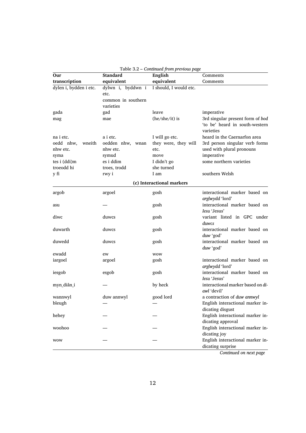| Our                    | <b>Standard</b>    | English                   | Comments                                                                        |
|------------------------|--------------------|---------------------------|---------------------------------------------------------------------------------|
| transcription          | equivalent         | equivalent                | Comments                                                                        |
| dylen i, bydden i etc. | dylwn i, byddwn i  | I should, I would etc.    |                                                                                 |
|                        | etc.               |                           |                                                                                 |
|                        | common in southern |                           |                                                                                 |
|                        | varieties          |                           |                                                                                 |
| gada                   | gad                | leave                     | imperative                                                                      |
| mag                    | mae                | $(he/she/it)$ is          | 3rd singular present form of bod<br>'to be' heard in south-western<br>varieties |
| na i etc.              | a i etc.           | I will go etc.            | heard in the Caernarfon area                                                    |
| oedd nhw,<br>wneith    | oedden nhw, wnan   | they were, they will      | 3rd person singular verb forms                                                  |
| nhw etc.               | nhw etc.           | etc.                      | used with plural pronouns                                                       |
| syma                   | symud              | move                      | imperative                                                                      |
| tes i (ddi)m           | es i ddim          | I didn't go               | some northern varieties                                                         |
| troeodd hi             | troes, trodd       | she turned                |                                                                                 |
| y fi                   | rwy i              | I am                      | southern Welsh                                                                  |
|                        |                    | (c) Interactional markers |                                                                                 |
| argob                  | argoel             | gosh                      | interactional marker based on<br>arglwydd 'lord'                                |
| asu                    |                    | gosh                      | interactional marker based on<br>Iesu 'Jesus'                                   |
| diwc                   | duwcs              | gosh                      | variant listed in GPC under<br>duwcs                                            |
| duwarth                | duwcs              | gosh                      | interactional marker based on<br>duw 'god'                                      |
| duwedd                 | duwcs              | gosh                      | interactional marker based on<br>duw 'god'                                      |
| ewadd                  | ew                 | <b>WOW</b>                |                                                                                 |
| iargoel                | argoel             | gosh                      | interactional marker based on<br>arglwydd 'lord'                                |
| iesgob                 | esgob              | gosh                      | interactional marker based on<br>Iesu 'Jesus'                                   |
| myn_diân_i             |                    | by heck                   | interactional marker based on di-<br>awl 'devil'                                |
| wannwyl                | duw annwyl         | good lord                 | a contraction of duw annwyl                                                     |
| bleugh                 |                    |                           | English interactional marker in-                                                |
| hehey                  |                    |                           | dicating disgust<br>English interactional marker in-<br>dicating approval       |
| woohoo                 |                    |                           | English interactional marker in-<br>dicating joy                                |
| wow                    |                    |                           | English interactional marker in-<br>dicating surprise                           |

| Table 3.2 - Continued from previous page |  |
|------------------------------------------|--|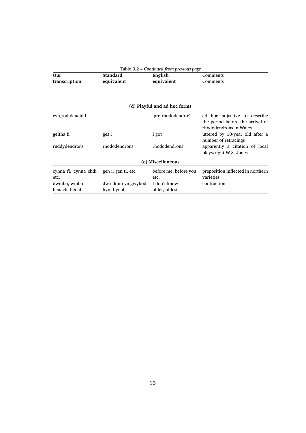| Our                  | <b>Standard</b>     | Table 3.2 – Continued from previous puge<br>English | Comments                                                                                   |
|----------------------|---------------------|-----------------------------------------------------|--------------------------------------------------------------------------------------------|
| transcription        | equivalent          | equivalent                                          | Comments                                                                                   |
|                      |                     |                                                     |                                                                                            |
|                      |                     | (d) Playful and ad hoc forms                        |                                                                                            |
| cyn rodidenaidd      |                     | 'pre-rhododendric'                                  | ad hoc adjective to describe<br>the period before the arrival of<br>rhododendrons in Wales |
| geitha fi            | ges i               | I got                                               | uttered by 10-year old after a<br>number of retracings                                     |
| ruddydendrons        | rhododendrons       | rhododendrons                                       | apparently a citation of local<br>playwright W.S. Jones                                    |
|                      |                     | (e) Miscellaneous                                   |                                                                                            |
| cynna fi, cynna chdi | gen i, gen ti, etc. | before me, before you                               | preposition inflected in northern                                                          |
| etc.                 |                     | etc.                                                | varieties                                                                                  |
| dwmbo, wmbo          | dw i ddim yn gwybod | I don't know                                        | contraction                                                                                |
| henach, henaf        | hŷn, hynaf          | older, oldest                                       |                                                                                            |

#### Table 3.2 – *Continued from previous page*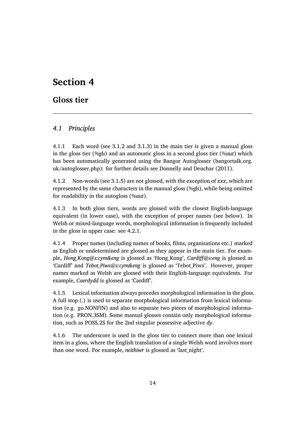## **Section 4**

## **Gloss tier**

#### *4.1 Principles*

4.1.1 Each word (see 3.1.2 and 3.1.3) in the main tier is given a manual gloss in the gloss tier (*%gls*) and an automatic gloss in a second gloss tier (*%aut*) which has been automatically generated using the Bangor Autoglosser (bangortalk.org. uk/autoglosser.php): for further details see Donnelly and Deuchar (2011).

4.1.2 Non-words (see 3.1.5) are not glossed, with the exception of *xxx*, which are represented by the same characters in the manual gloss (*%gls*), while being omitted for readability in the autogloss (*%aut*).

4.1.3 In both gloss tiers, words are glossed with the closest English-language equivalent (in lower case), with the exception of proper names (see below). In Welsh or mixed-language words, morphological information is frequently included in the gloss in upper case: see 4.2.1.

4.1.4 Proper names (including names of books, films, organisations etc.) marked as English or undetermined are glossed as they appear in the main tier. For example, *Hong\_Kong@s:cym&eng* is glossed as 'Hong\_Kong', *Cardiff@s:eng* is glossed as 'Cardiff' and *Tebot\_Piws@s:cym&eng* is glossed as 'Tebot\_Piws'. However, proper names marked as Welsh are glossed with their English-language equivalents. For example, *Caerdydd* is glossed as 'Cardiff'.

4.1.5 Lexical information always precedes morphological information in the gloss. A full stop (.) is used to separate morphological information from lexical information (e.g. go.NONFIN) and also to separate two pieces of morphological information (e.g. PRON.3SM). Some manual glosses contain only morphological information, such as POSS.2S for the 2nd singular possessive adjective *dy*.

4.1.6 The underscore is used in the gloss tier to connect more than one lexical item in a gloss, where the English translation of a single Welsh word involves more than one word. For example, *neithiwr* is glossed as 'last\_night'.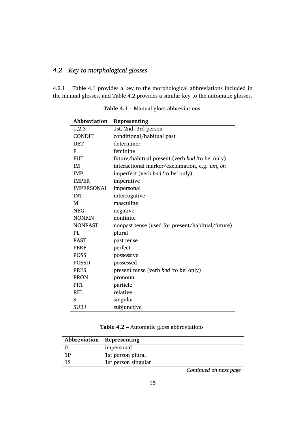#### *4.2 Key to morphological glosses*

4.2.1 Table 4.1 provides a key to the morphological abbreviations included in the manual glosses, and Table 4.2 provides a similar key to the automatic glosses.

| Abbreviation      | Representing                                     |
|-------------------|--------------------------------------------------|
| 1,2,3             | 1st, 2nd, 3rd person                             |
| <b>CONDIT</b>     | conditional/habitual past                        |
| <b>DET</b>        | determiner                                       |
| F                 | feminine                                         |
| <b>FUT</b>        | future/habitual present (verb bod 'to be' only)  |
| IM                | interactional marker/exclamation, e.g. um, oh    |
| <b>IMP</b>        | imperfect (verb bod 'to be' only)                |
| <b>IMPER</b>      | imperative                                       |
| <b>IMPERSONAL</b> | impersonal                                       |
| <b>INT</b>        | interrogative                                    |
| M                 | masculine                                        |
| <b>NEG</b>        | negative                                         |
| <b>NONFIN</b>     | nonfinite                                        |
| <b>NONPAST</b>    | nonpast tense (used for present/habitual/future) |
| PI.               | plural                                           |
| <b>PAST</b>       | past tense                                       |
| <b>PERF</b>       | perfect                                          |
| <b>POSS</b>       | possessive                                       |
| <b>POSSD</b>      | possessed                                        |
| <b>PRES</b>       | present tense (verb bod 'to be' only)            |
| <b>PRON</b>       | pronoun                                          |
| PRT               | particle                                         |
| REL               | relative                                         |
| S                 | singular                                         |
| <b>SUBJ</b>       | subjunctive                                      |

**Table 4.1** – Manual gloss abbreviations

#### **Table 4.2** – Automatic gloss abbreviations

|     | Abbreviation Representing |
|-----|---------------------------|
|     | impersonal                |
| 1 P | 1st person plural         |
| 1S  | 1st person singular       |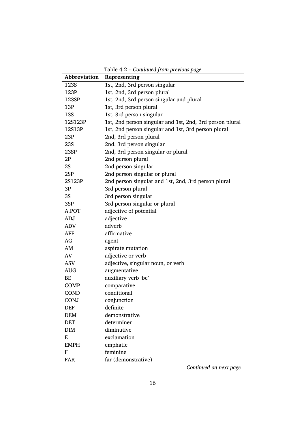| Abbreviation | Representing                                             |
|--------------|----------------------------------------------------------|
| 123S         | 1st, 2nd, 3rd person singular                            |
| 123P         | 1st, 2nd, 3rd person plural                              |
| 123SP        | 1st, 2nd, 3rd person singular and plural                 |
| 13P          | 1st, 3rd person plural                                   |
| 13S          | 1st, 3rd person singular                                 |
| 12S123P      | 1st, 2nd person singular and 1st, 2nd, 3rd person plural |
| 12S13P       | 1st, 2nd person singular and 1st, 3rd person plural      |
| 23P          | 2nd, 3rd person plural                                   |
| 23S          | 2nd, 3rd person singular                                 |
| 23SP         | 2nd, 3rd person singular or plural                       |
| 2P           | 2nd person plural                                        |
| 2S           | 2nd person singular                                      |
| 2SP          | 2nd person singular or plural                            |
| 2S123P       | 2nd person singular and 1st, 2nd, 3rd person plural      |
| 3P           | 3rd person plural                                        |
| 3S           | 3rd person singular                                      |
| 3SP          | 3rd person singular or plural                            |
| A.POT        | adjective of potential                                   |
| ADJ          | adjective                                                |
| ADV          | adverb                                                   |
| AFF          | affirmative                                              |
| AG           | agent                                                    |
| AM           | aspirate mutation                                        |
| AV           | adjective or verb                                        |
| ASV          | adjective, singular noun, or verb                        |
| AUG          | augmentative                                             |
| BE           | auxiliary verb 'be'                                      |
| <b>COMP</b>  | comparative                                              |
| COND         | conditional                                              |
| <b>CONJ</b>  | conjunction                                              |
| <b>DEF</b>   | definite                                                 |
| <b>DEM</b>   | demonstrative                                            |
| <b>DET</b>   | determiner                                               |
| <b>DIM</b>   | diminutive                                               |
| E            | exclamation                                              |
| <b>EMPH</b>  | emphatic                                                 |
| F            | feminine                                                 |
| <b>FAR</b>   | far (demonstrative)                                      |

Table 4.2 – *Continued from previous page*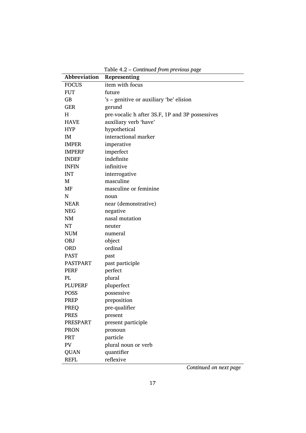| Abbreviation    | Representing                                    |
|-----------------|-------------------------------------------------|
| <b>FOCUS</b>    | item with focus                                 |
| <b>FUT</b>      | future                                          |
| GB              | 's – genitive or auxiliary 'be' elision         |
| <b>GER</b>      | gerund                                          |
| Н               | pre-vocalic h after 3S.F, 1P and 3P possessives |
| <b>HAVE</b>     | auxiliary verb 'have'                           |
| <b>HYP</b>      | hypothetical                                    |
| IM              | interactional marker                            |
| <b>IMPER</b>    | imperative                                      |
| <b>IMPERF</b>   | imperfect                                       |
| <b>INDEF</b>    | indefinite                                      |
| <b>INFIN</b>    | infinitive                                      |
| <b>INT</b>      | interrogative                                   |
| M               | masculine                                       |
| MF              | masculine or feminine                           |
| N               | noun                                            |
| <b>NEAR</b>     | near (demonstrative)                            |
| <b>NEG</b>      | negative                                        |
| <b>NM</b>       | nasal mutation                                  |
| NT              | neuter                                          |
| <b>NUM</b>      | numeral                                         |
| <b>OBJ</b>      | object                                          |
| <b>ORD</b>      | ordinal                                         |
| <b>PAST</b>     | past                                            |
| <b>PASTPART</b> | past participle                                 |
| <b>PERF</b>     | perfect                                         |
| PL              | plural                                          |
| <b>PLUPERF</b>  | pluperfect                                      |
| <b>POSS</b>     | possessive                                      |
| <b>PREP</b>     | preposition                                     |
| PREQ            | pre-qualifier                                   |
| <b>PRES</b>     | present                                         |
| <b>PRESPART</b> | present participle                              |
| <b>PRON</b>     | pronoun                                         |
| PRT             | particle                                        |
| PV              | plural noun or verb                             |
| <b>QUAN</b>     | quantifier                                      |
| <b>REFL</b>     | reflexive                                       |

Table 4.2 – *Continued from previous page*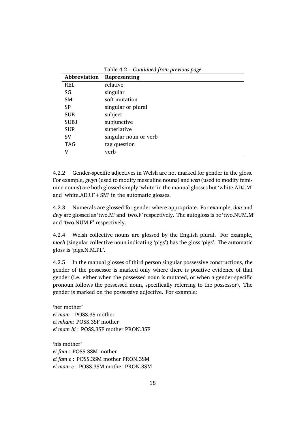| Abbreviation | Representing          |
|--------------|-----------------------|
| <b>REL</b>   | relative              |
| SG           | singular              |
| SM           | soft mutation         |
| <b>SP</b>    | singular or plural    |
| <b>SUB</b>   | subject               |
| <b>SUBJ</b>  | subjunctive           |
| <b>SUP</b>   | superlative           |
| <b>SV</b>    | singular noun or verb |
| <b>TAG</b>   | tag question          |
| V            | verb                  |

Table 4.2 – *Continued from previous page*

4.2.2 Gender-specific adjectives in Welsh are not marked for gender in the gloss. For example, *gwyn* (used to modify masculine nouns) and *wen* (used to modify feminine nouns) are both glossed simply 'white' in the manual glosses but 'white.ADJ.M' and 'white.ADJ. $F + SM$ ' in the automatic glosses.

4.2.3 Numerals are glossed for gender where appropriate. For example, *dau* and *dwy* are glossed as 'two.M' and 'two.F' respectively. The autogloss is be 'two.NUM.M' and 'two.NUM.F' respectively.

4.2.4 Welsh collective nouns are glossed by the English plural. For example, *moch* (singular collective noun indicating 'pigs') has the gloss 'pigs'. The automatic gloss is 'pigs.N.M.PL'.

4.2.5 In the manual glosses of third person singular possessive constructions, the gender of the possessor is marked only where there is positive evidence of that gender (i.e. either when the possessed noun is mutated, or when a gender-specific pronoun follows the possessed noun, specifically referring to the possessor). The gender is marked on the possessive adjective. For example:

'her mother' *ei mam* : POSS.3S mother *ei mham*: POSS.3SF mother *ei mam hi* : POSS.3SF mother PRON.3SF

'his mother' *ei fam* : POSS.3SM mother *ei fam e* : POSS.3SM mother PRON.3SM *ei mam e* : POSS.3SM mother PRON.3SM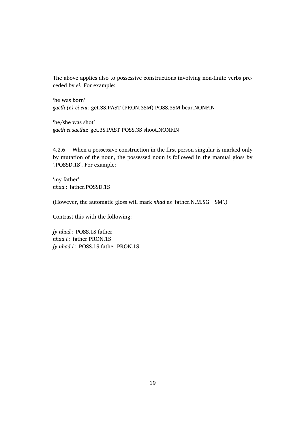The above applies also to possessive constructions involving non-finite verbs preceded by *ei*. For example:

'he was born' *gaeth (e) ei eni*: get.3S.PAST (PRON.3SM) POSS.3SM bear.NONFIN

'he/she was shot' *gaeth ei saethu*: get.3S.PAST POSS.3S shoot.NONFIN

4.2.6 When a possessive construction in the first person singular is marked only by mutation of the noun, the possessed noun is followed in the manual gloss by '.POSSD.1S'. For example:

'my father' *nhad* : father.POSSD.1S

(However, the automatic gloss will mark *nhad* as 'father.N.M.SG+SM'.)

Contrast this with the following:

*fy nhad* : POSS.1S father *nhad i* : father PRON.1S *fy nhad i* : POSS.1S father PRON.1S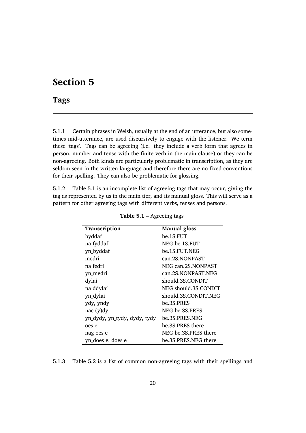## **Section 5**

## **Tags**

5.1.1 Certain phrases in Welsh, usually at the end of an utterance, but also sometimes mid-utterance, are used discursively to engage with the listener. We term these 'tags'. Tags can be agreeing (i.e. they include a verb form that agrees in person, number and tense with the finite verb in the main clause) or they can be non-agreeing. Both kinds are particularly problematic in transcription, as they are seldom seen in the written language and therefore there are no fixed conventions for their spelling. They can also be problematic for glossing.

5.1.2 Table 5.1 is an incomplete list of agreeing tags that may occur, giving the tag as represented by us in the main tier, and its manual gloss. This will serve as a pattern for other agreeing tags with different verbs, tenses and persons.

| <b>Transcription</b>         | <b>Manual gloss</b>  |
|------------------------------|----------------------|
| byddaf                       | be.1S.FUT            |
| na fyddaf                    | NEG be.1S.FUT        |
| yn_byddaf                    | be.1S.FUT.NEG        |
| medri                        | can.2S.NONPAST       |
| na fedri                     | NEG can.2S.NONPAST   |
| yn_medri                     | can.2S.NONPAST.NEG   |
| dylai                        | should.3S.CONDIT     |
| na ddylai                    | NEG should.3S.CONDIT |
| yn_dylai                     | should.3S.CONDIT.NEG |
| ydy, yndy                    | be.3S.PRES           |
| nac(y)dy                     | NEG be.3S.PRES       |
| yn_dydy, yn_tydy, dydy, tydy | be.3S.PRES.NEG       |
| oes e                        | be.3S.PRES there     |
| nag oes e                    | NEG be 3S.PRES there |
| yn does e, does e            | be.3S.PRES.NEG there |

**Table 5.1** – Agreeing tags

5.1.3 Table 5.2 is a list of common non-agreeing tags with their spellings and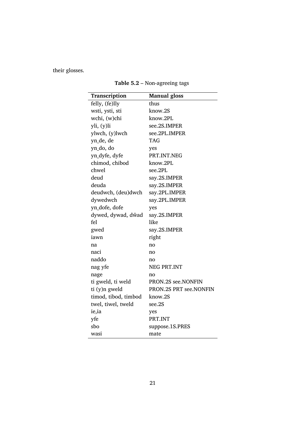their glosses.

| Transcription        | <b>Manual gloss</b>    |
|----------------------|------------------------|
| felly, (fe)lly       | thus                   |
| wsti, ysti, sti      | know.2S                |
| wchi, (w)chi         | know.2PL               |
| yli, (y)li           | see.2S.IMPER           |
| ylwch, (y)lwch       | see.2PL.IMPER          |
| yn_de, de            | <b>TAG</b>             |
| yn_do, do            | yes                    |
| yn_dyfe, dyfe        | PRT.INT.NEG            |
| chimod, chibod       | know.2PL               |
| chwel                | see.2PL                |
| deud                 | say.2S.IMPER           |
| deuda                | say.2S.IMPER           |
| deudwch, (deu)dwch   | say.2PL.IMPER          |
| dywedwch             | say.2PL.IMPER          |
| yn_dofe, dofe        | yes                    |
| dywed, dywad, dŵad   | say.2S.IMPER           |
| fel                  | like                   |
| gwed                 | say.2S.IMPER           |
| iawn                 | right                  |
| na                   | no                     |
| naci                 | no                     |
| naddo                | no                     |
| nag yfe              | NEG PRT.INT            |
| nage                 | no                     |
| ti gweld, ti weld    | PRON.2S see.NONFIN     |
| ti (y)n gweld        | PRON.2S PRT see.NONFIN |
| timod, tibod, timbod | know.2S                |
| twel, tiwel, tweld   | see.2S                 |
| ie, ia               | yes                    |
| yfe                  | PRT.INT                |
| sbo                  | suppose.1S.PRES        |
| wasi                 | mate                   |

**Table 5.2** – Non-agreeing tags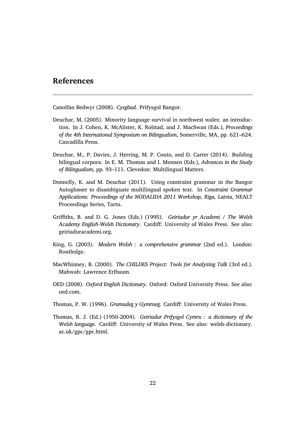### **References**

Canolfan Bedwyr (2008). *Cysgliad*. Prifysgol Bangor.

- Deuchar, M. (2005). Minority language survival in northwest wales: an introduction. In J. Cohen, K. McAlister, K. Rolstad, and J. MacSwan (Eds.), *Proceedings of the 4th International Symposium on Bilingualism*, Somerville, MA, pp. 621–624. Cascadilla Press.
- Deuchar, M., P. Davies, J. Herring, M. P. Couto, and D. Carter (2014). Building bilingual corpora. In E. M. Thomas and I. Mennen (Eds.), *Advances in the Study of Bilingualism*, pp. 93–111. Clevedon: Multilingual Matters.
- Donnelly, K. and M. Deuchar (2011). Using constraint grammar in the Bangor Autoglosser to disambiguate multilingual spoken text. In *Constraint Grammar Applications: Proceedings of the NODALIDA 2011 Workshop, Riga, Latvia*, NEALT Proceedings Series, Tartu.
- Griffiths, B. and D. G. Jones (Eds.) (1995). *Geiriadur yr Academi / The Welsh Academy English-Welsh Dictionary*. Cardiff: University of Wales Press. See also: geiriaduracademi.org.
- King, G. (2003). *Modern Welsh : a comprehensive grammar* (2nd ed.). London: Routledge.
- MacWhinney, B. (2000). *The CHILDES Project: Tools for Analyzing Talk* (3rd ed.). Mahwah: Lawrence Erlbaum.
- OED (2008). *Oxford English Dictionary*. Oxford: Oxford University Press. See also: oed.com.
- Thomas, P. W. (1996). *Gramadeg y Gymraeg*. Cardiff: University of Wales Press.
- Thomas, R. J. (Ed.) (1950-2004). *Geiriadur Prifysgol Cymru : a dictionary of the Welsh language*. Cardiff: University of Wales Press. See also: welsh-dictionary. ac.uk/gpc/gpc.html.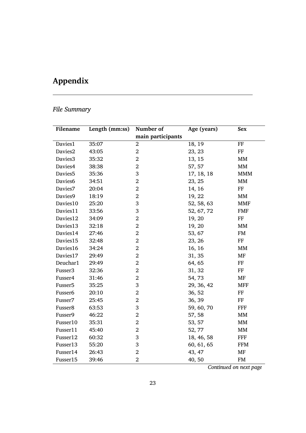# **Appendix**

## *File Summary*

| Filename            | Length (mm:ss) | Number of         | Age (years) | <b>Sex</b>        |
|---------------------|----------------|-------------------|-------------|-------------------|
|                     |                | main participants |             |                   |
| Davies1             | 35:07          | $\overline{2}$    | 18, 19      | FF                |
| Davies2             | 43:05          | $\overline{2}$    | 23, 23      | $\rm FF$          |
| Davies3             | 35:32          | $\overline{2}$    | 13, 15      | MM                |
| Davies4             | 38:38          | $\overline{2}$    | 57, 57      | $\text{MM}{}$     |
| Davies <sub>5</sub> | 35:36          | 3                 | 17, 18, 18  | <b>MMM</b>        |
| Davies6             | 34:51          | $\overline{2}$    | 23, 25      | MM                |
| Davies7             | 20:04          | $\overline{2}$    | 14, 16      | $\rm FF$          |
| Davies9             | 18:19          | $\overline{2}$    | 19, 22      | MM                |
| Davies10            | 25:20          | 3                 | 52, 58, 63  | MMF               |
| Davies11            | 33:56          | 3                 | 52, 67, 72  | <b>FMF</b>        |
| Davies12            | 34:09          | $\overline{2}$    | 19, 20      | $\rm FF$          |
| Davies13            | 32:18          | $\overline{2}$    | 19, 20      | MM                |
| Davies14            | 27:46          | $\overline{2}$    | 53, 67      | <b>FM</b>         |
| Davies15            | 32:48          | $\overline{2}$    | 23, 26      | $\rm FF$          |
| Davies16            | 34:24          | $\overline{2}$    | 16, 16      | MM                |
| Davies17            | 29:49          | $\overline{2}$    | 31, 35      | MF                |
| Deuchar1            | 29:49          | $\overline{2}$    | 64, 65      | $\rm FF$          |
| Fusser <sub>3</sub> | 32:36          | $\overline{2}$    | 31, 32      | FF                |
| Fusser4             | 31:46          | $\overline{2}$    | 54,73       | MF                |
| Fusser <sub>5</sub> | 35:25          | 3                 | 29, 36, 42  | <b>MFF</b>        |
| Fusser6             | 20:10          | $\overline{2}$    | 36, 52      | FF                |
| Fusser7             | 25:45          | $\overline{2}$    | 36, 39      | FF                |
| Fusser8             | 63:53          | 3                 | 59, 60, 70  | <b>FFF</b>        |
| Fusser9             | 46:22          | $\overline{2}$    | 57, 58      | MM                |
| Fusser10            | 35:31          | $\overline{2}$    | 53, 57      | MM                |
| Fusser11            | 45:40          | $\overline{2}$    | 52, 77      | $\mathop{\rm MM}$ |
| Fusser12            | 60:32          | 3                 | 18, 46, 58  | FFF               |
| Fusser13            | 55:20          | 3                 | 60, 61, 65  | <b>FFM</b>        |
| Fusser14            | 26:43          | $\overline{2}$    | 43, 47      | MF                |
| Fusser15            | 39:46          | $\overline{2}$    | 40,50       | <b>FM</b>         |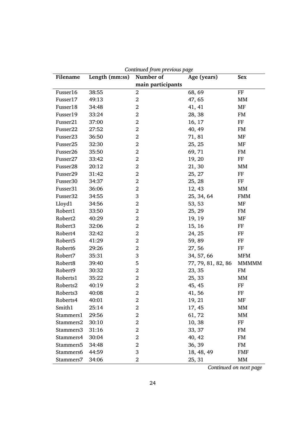| Filename             | Length (mm:ss) | Continued from previous page<br>Number of | Age (years)        | Sex               |
|----------------------|----------------|-------------------------------------------|--------------------|-------------------|
|                      |                | main participants                         |                    |                   |
| Fusser16             | 38:55          | $\overline{2}$                            | 68, 69             | $\rm FF$          |
| Fusser17             | 49:13          | $\overline{2}$                            | 47, 65             | MM                |
| Fusser18             | 34:48          | $\overline{2}$                            | 41, 41             | MF                |
| Fusser19             | 33:24          | $\overline{2}$                            | 28, 38             | <b>FM</b>         |
| Fusser21             | 37:00          | $\overline{2}$                            | 16, 17             | FF                |
| Fusser22             | 27:52          | $\overline{2}$                            | 40, 49             | <b>FM</b>         |
| Fusser23             | 36:50          | $\overline{2}$                            | 71, 81             | MF                |
| Fusser25             | 32:30          | $\overline{2}$                            | 25, 25             | MF                |
| Fusser26             | 35:50          | $\overline{2}$                            | 69,71              | <b>FM</b>         |
| Fusser27             | 33:42          | $\overline{2}$                            | 19, 20             | FF                |
| Fusser <sub>28</sub> | 20:12          | $\overline{2}$                            | 21, 30             | MM                |
| Fusser29             | 31:42          | $\overline{2}$                            | 25, 27             | $\rm FF$          |
| Fusser30             | 34:37          | $\overline{2}$                            | 25, 28             | FF                |
| Fusser31             | 36:06          | $\overline{2}$                            | 12, 43             | $\mathop{\rm MM}$ |
| Fusser32             | 34:55          | 3                                         | 25, 34, 64         | <b>FMM</b>        |
| Lloyd1               | 34:56          | $\overline{2}$                            | 53, 53             | MF                |
| Robert1              | 33:50          | $\overline{2}$                            | 25, 29             | <b>FM</b>         |
| Robert2              | 40:29          | $\overline{2}$                            | 19, 19             | MF                |
| Robert3              | 32:06          | $\overline{2}$                            | 15, 16             | FF                |
| Robert4              | 32:42          | $\overline{2}$                            | 24, 25             | FF                |
| Robert5              | 41:29          | $\overline{2}$                            | 59,89              | FF                |
| Robert6              | 29:26          | $\overline{2}$                            | 27,56              | FF                |
| Robert7              | 35:31          | 3                                         | 34, 57, 66         | <b>MFM</b>        |
| Robert8              | 39:40          | 5                                         | 77, 79, 81, 82, 86 | <b>MMMMM</b>      |
| Robert9              | 30:32          | $\overline{2}$                            | 23, 35             | FM                |
| Roberts1             | 35:22          | $\overline{2}$                            | 25, 33             | MM                |
| Roberts2             | 40:19          | $\overline{2}$                            | 45, 45             | FF                |
| Roberts3             | 40:08          | $\overline{2}$                            | 41,56              | FF                |
| Roberts4             | 40:01          | $\overline{2}$                            | 19, 21             | MF                |
| Smith1               | 25:14          | 2                                         | 17, 45             | MM                |
| Stammers1            | 29:56          | $\overline{2}$                            | 61, 72             | MM                |
| Stammers2            | 30:10          | 2                                         | 10, 38             | FF                |
| Stammers3            | 31:16          | 2                                         | 33, 37             | FM                |
| Stammers4            | 30:04          | $\overline{2}$                            | 40, 42             | FM                |
| Stammers5            | 34:48          | $\overline{2}$                            | 36, 39             | FM                |
| Stammers6            | 44:59          | 3                                         | 18, 48, 49         | <b>FMF</b>        |
| Stammers7            | 34:06          | 2                                         | 25, 31             | MM                |

*Continued from previous page*